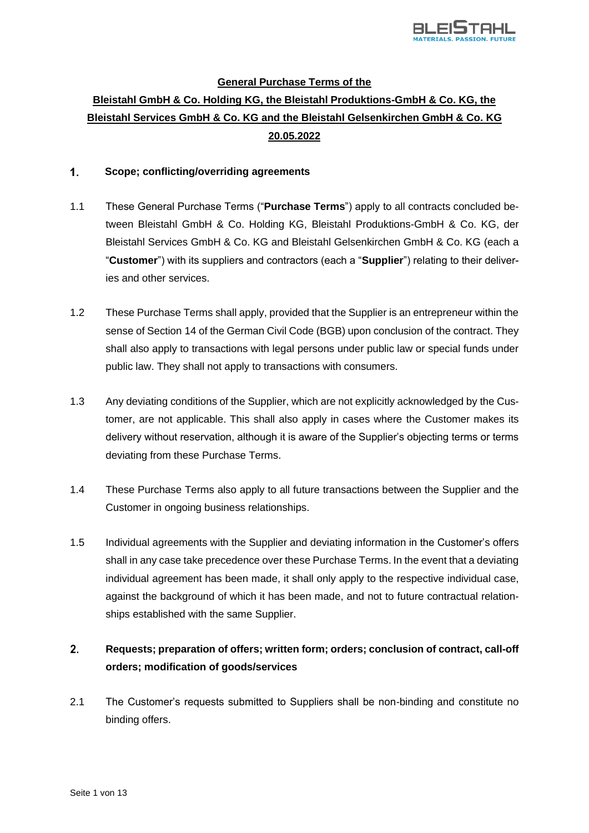

## **General Purchase Terms of the**

# **Bleistahl GmbH & Co. Holding KG, the Bleistahl Produktions-GmbH & Co. KG, the Bleistahl Services GmbH & Co. KG and the Bleistahl Gelsenkirchen GmbH & Co. KG 20.05.2022**

#### $1<sub>1</sub>$ **Scope; conflicting/overriding agreements**

- 1.1 These General Purchase Terms ("**Purchase Terms**") apply to all contracts concluded between Bleistahl GmbH & Co. Holding KG, Bleistahl Produktions-GmbH & Co. KG, der Bleistahl Services GmbH & Co. KG and Bleistahl Gelsenkirchen GmbH & Co. KG (each a "**Customer**") with its suppliers and contractors (each a "**Supplier**") relating to their deliveries and other services.
- 1.2 These Purchase Terms shall apply, provided that the Supplier is an entrepreneur within the sense of Section 14 of the German Civil Code (BGB) upon conclusion of the contract. They shall also apply to transactions with legal persons under public law or special funds under public law. They shall not apply to transactions with consumers.
- 1.3 Any deviating conditions of the Supplier, which are not explicitly acknowledged by the Customer, are not applicable. This shall also apply in cases where the Customer makes its delivery without reservation, although it is aware of the Supplier's objecting terms or terms deviating from these Purchase Terms.
- 1.4 These Purchase Terms also apply to all future transactions between the Supplier and the Customer in ongoing business relationships.
- 1.5 Individual agreements with the Supplier and deviating information in the Customer's offers shall in any case take precedence over these Purchase Terms. In the event that a deviating individual agreement has been made, it shall only apply to the respective individual case, against the background of which it has been made, and not to future contractual relationships established with the same Supplier.

## $2.$ **Requests; preparation of offers; written form; orders; conclusion of contract, call-off orders; modification of goods/services**

2.1 The Customer's requests submitted to Suppliers shall be non-binding and constitute no binding offers.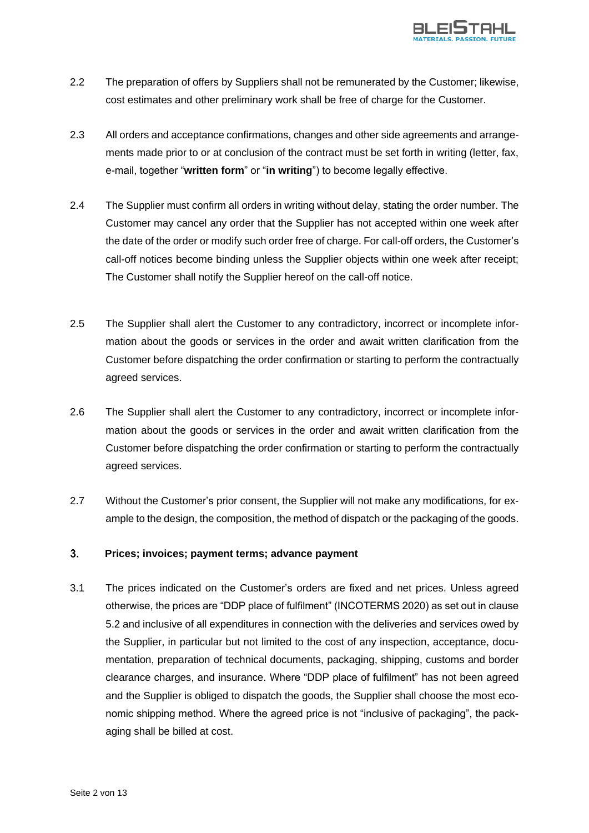

- 2.2 The preparation of offers by Suppliers shall not be remunerated by the Customer; likewise, cost estimates and other preliminary work shall be free of charge for the Customer.
- 2.3 All orders and acceptance confirmations, changes and other side agreements and arrangements made prior to or at conclusion of the contract must be set forth in writing (letter, fax, e-mail, together "**written form**" or "**in writing**") to become legally effective.
- 2.4 The Supplier must confirm all orders in writing without delay, stating the order number. The Customer may cancel any order that the Supplier has not accepted within one week after the date of the order or modify such order free of charge. For call-off orders, the Customer's call-off notices become binding unless the Supplier objects within one week after receipt; The Customer shall notify the Supplier hereof on the call-off notice.
- 2.5 The Supplier shall alert the Customer to any contradictory, incorrect or incomplete information about the goods or services in the order and await written clarification from the Customer before dispatching the order confirmation or starting to perform the contractually agreed services.
- 2.6 The Supplier shall alert the Customer to any contradictory, incorrect or incomplete information about the goods or services in the order and await written clarification from the Customer before dispatching the order confirmation or starting to perform the contractually agreed services.
- 2.7 Without the Customer's prior consent, the Supplier will not make any modifications, for example to the design, the composition, the method of dispatch or the packaging of the goods.

#### $3<sub>1</sub>$ **Prices; invoices; payment terms; advance payment**

3.1 The prices indicated on the Customer's orders are fixed and net prices. Unless agreed otherwise, the prices are "DDP place of fulfilment" (INCOTERMS 2020) as set out in clause 5.2 and inclusive of all expenditures in connection with the deliveries and services owed by the Supplier, in particular but not limited to the cost of any inspection, acceptance, documentation, preparation of technical documents, packaging, shipping, customs and border clearance charges, and insurance. Where "DDP place of fulfilment" has not been agreed and the Supplier is obliged to dispatch the goods, the Supplier shall choose the most economic shipping method. Where the agreed price is not "inclusive of packaging", the packaging shall be billed at cost.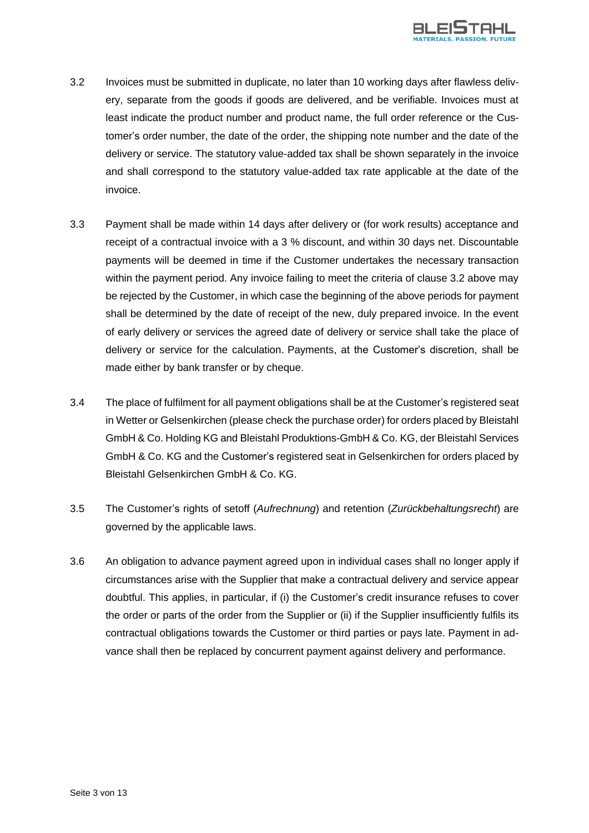

- 3.2 Invoices must be submitted in duplicate, no later than 10 working days after flawless delivery, separate from the goods if goods are delivered, and be verifiable. Invoices must at least indicate the product number and product name, the full order reference or the Customer's order number, the date of the order, the shipping note number and the date of the delivery or service. The statutory value-added tax shall be shown separately in the invoice and shall correspond to the statutory value-added tax rate applicable at the date of the invoice.
- 3.3 Payment shall be made within 14 days after delivery or (for work results) acceptance and receipt of a contractual invoice with a 3 % discount, and within 30 days net. Discountable payments will be deemed in time if the Customer undertakes the necessary transaction within the payment period. Any invoice failing to meet the criteria of clause 3.2 above may be rejected by the Customer, in which case the beginning of the above periods for payment shall be determined by the date of receipt of the new, duly prepared invoice. In the event of early delivery or services the agreed date of delivery or service shall take the place of delivery or service for the calculation. Payments, at the Customer's discretion, shall be made either by bank transfer or by cheque.
- 3.4 The place of fulfilment for all payment obligations shall be at the Customer's registered seat in Wetter or Gelsenkirchen (please check the purchase order) for orders placed by Bleistahl GmbH & Co. Holding KG and Bleistahl Produktions-GmbH & Co. KG, der Bleistahl Services GmbH & Co. KG and the Customer's registered seat in Gelsenkirchen for orders placed by Bleistahl Gelsenkirchen GmbH & Co. KG.
- 3.5 The Customer's rights of setoff (*Aufrechnung*) and retention (*Zurückbehaltungsrecht*) are governed by the applicable laws.
- 3.6 An obligation to advance payment agreed upon in individual cases shall no longer apply if circumstances arise with the Supplier that make a contractual delivery and service appear doubtful. This applies, in particular, if (i) the Customer's credit insurance refuses to cover the order or parts of the order from the Supplier or (ii) if the Supplier insufficiently fulfils its contractual obligations towards the Customer or third parties or pays late. Payment in advance shall then be replaced by concurrent payment against delivery and performance.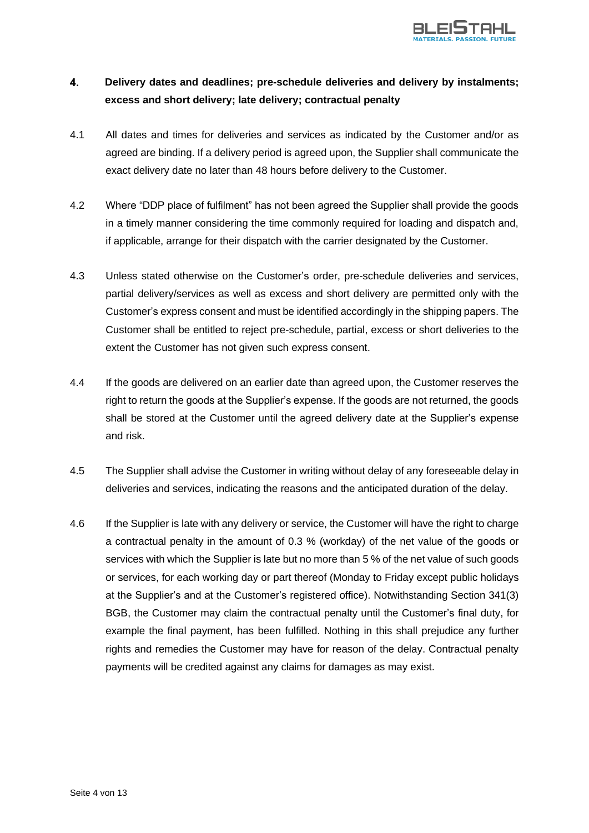

## $\overline{4}$ . **Delivery dates and deadlines; pre-schedule deliveries and delivery by instalments; excess and short delivery; late delivery; contractual penalty**

- 4.1 All dates and times for deliveries and services as indicated by the Customer and/or as agreed are binding. If a delivery period is agreed upon, the Supplier shall communicate the exact delivery date no later than 48 hours before delivery to the Customer.
- 4.2 Where "DDP place of fulfilment" has not been agreed the Supplier shall provide the goods in a timely manner considering the time commonly required for loading and dispatch and, if applicable, arrange for their dispatch with the carrier designated by the Customer.
- 4.3 Unless stated otherwise on the Customer's order, pre-schedule deliveries and services, partial delivery/services as well as excess and short delivery are permitted only with the Customer's express consent and must be identified accordingly in the shipping papers. The Customer shall be entitled to reject pre-schedule, partial, excess or short deliveries to the extent the Customer has not given such express consent.
- 4.4 If the goods are delivered on an earlier date than agreed upon, the Customer reserves the right to return the goods at the Supplier's expense. If the goods are not returned, the goods shall be stored at the Customer until the agreed delivery date at the Supplier's expense and risk.
- 4.5 The Supplier shall advise the Customer in writing without delay of any foreseeable delay in deliveries and services, indicating the reasons and the anticipated duration of the delay.
- 4.6 If the Supplier is late with any delivery or service, the Customer will have the right to charge a contractual penalty in the amount of 0.3 % (workday) of the net value of the goods or services with which the Supplier is late but no more than 5 % of the net value of such goods or services, for each working day or part thereof (Monday to Friday except public holidays at the Supplier's and at the Customer's registered office). Notwithstanding Section 341(3) BGB, the Customer may claim the contractual penalty until the Customer's final duty, for example the final payment, has been fulfilled. Nothing in this shall prejudice any further rights and remedies the Customer may have for reason of the delay. Contractual penalty payments will be credited against any claims for damages as may exist.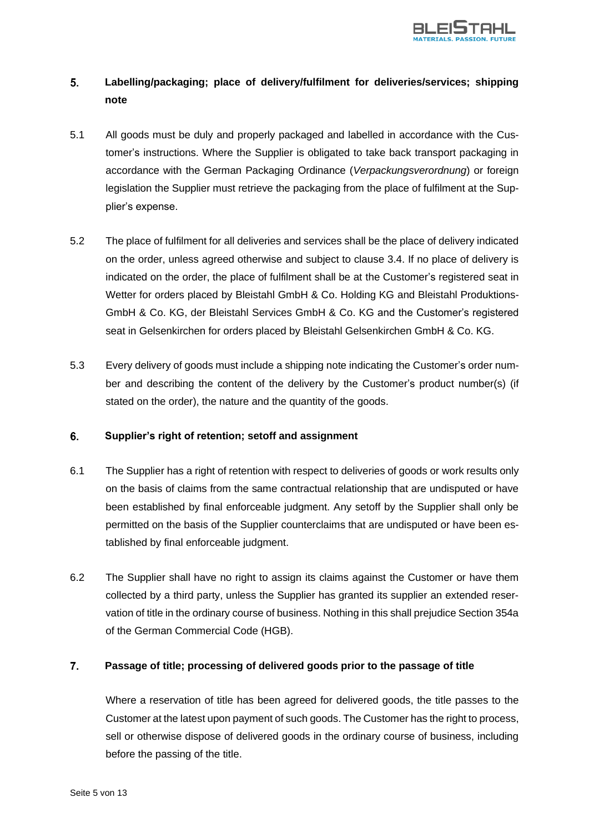

## $5<sub>1</sub>$ **Labelling/packaging; place of delivery/fulfilment for deliveries/services; shipping note**

- 5.1 All goods must be duly and properly packaged and labelled in accordance with the Customer's instructions. Where the Supplier is obligated to take back transport packaging in accordance with the German Packaging Ordinance (*Verpackungsverordnung*) or foreign legislation the Supplier must retrieve the packaging from the place of fulfilment at the Supplier's expense.
- 5.2 The place of fulfilment for all deliveries and services shall be the place of delivery indicated on the order, unless agreed otherwise and subject to clause 3.4. If no place of delivery is indicated on the order, the place of fulfilment shall be at the Customer's registered seat in Wetter for orders placed by Bleistahl GmbH & Co. Holding KG and Bleistahl Produktions-GmbH & Co. KG, der Bleistahl Services GmbH & Co. KG and the Customer's registered seat in Gelsenkirchen for orders placed by Bleistahl Gelsenkirchen GmbH & Co. KG.
- 5.3 Every delivery of goods must include a shipping note indicating the Customer's order number and describing the content of the delivery by the Customer's product number(s) (if stated on the order), the nature and the quantity of the goods.

#### 6. **Supplier's right of retention; setoff and assignment**

- 6.1 The Supplier has a right of retention with respect to deliveries of goods or work results only on the basis of claims from the same contractual relationship that are undisputed or have been established by final enforceable judgment. Any setoff by the Supplier shall only be permitted on the basis of the Supplier counterclaims that are undisputed or have been established by final enforceable judgment.
- 6.2 The Supplier shall have no right to assign its claims against the Customer or have them collected by a third party, unless the Supplier has granted its supplier an extended reservation of title in the ordinary course of business. Nothing in this shall prejudice Section 354a of the German Commercial Code (HGB).

#### $\overline{7}$ . **Passage of title; processing of delivered goods prior to the passage of title**

Where a reservation of title has been agreed for delivered goods, the title passes to the Customer at the latest upon payment of such goods. The Customer has the right to process, sell or otherwise dispose of delivered goods in the ordinary course of business, including before the passing of the title.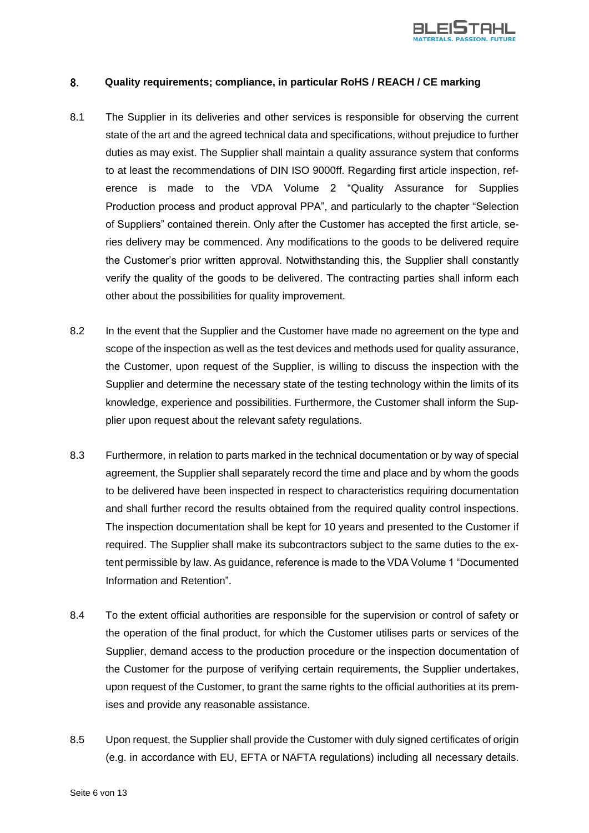

#### 8. **Quality requirements; compliance, in particular RoHS / REACH / CE marking**

- 8.1 The Supplier in its deliveries and other services is responsible for observing the current state of the art and the agreed technical data and specifications, without prejudice to further duties as may exist. The Supplier shall maintain a quality assurance system that conforms to at least the recommendations of DIN ISO 9000ff. Regarding first article inspection, reference is made to the VDA Volume 2 "Quality Assurance for Supplies Production process and product approval PPA", and particularly to the chapter "Selection of Suppliers" contained therein. Only after the Customer has accepted the first article, series delivery may be commenced. Any modifications to the goods to be delivered require the Customer's prior written approval. Notwithstanding this, the Supplier shall constantly verify the quality of the goods to be delivered. The contracting parties shall inform each other about the possibilities for quality improvement.
- 8.2 In the event that the Supplier and the Customer have made no agreement on the type and scope of the inspection as well as the test devices and methods used for quality assurance, the Customer, upon request of the Supplier, is willing to discuss the inspection with the Supplier and determine the necessary state of the testing technology within the limits of its knowledge, experience and possibilities. Furthermore, the Customer shall inform the Supplier upon request about the relevant safety regulations.
- 8.3 Furthermore, in relation to parts marked in the technical documentation or by way of special agreement, the Supplier shall separately record the time and place and by whom the goods to be delivered have been inspected in respect to characteristics requiring documentation and shall further record the results obtained from the required quality control inspections. The inspection documentation shall be kept for 10 years and presented to the Customer if required. The Supplier shall make its subcontractors subject to the same duties to the extent permissible by law. As guidance, reference is made to the VDA Volume 1 "Documented Information and Retention".
- 8.4 To the extent official authorities are responsible for the supervision or control of safety or the operation of the final product, for which the Customer utilises parts or services of the Supplier, demand access to the production procedure or the inspection documentation of the Customer for the purpose of verifying certain requirements, the Supplier undertakes, upon request of the Customer, to grant the same rights to the official authorities at its premises and provide any reasonable assistance.
- 8.5 Upon request, the Supplier shall provide the Customer with duly signed certificates of origin (e.g. in accordance with EU, EFTA or NAFTA regulations) including all necessary details.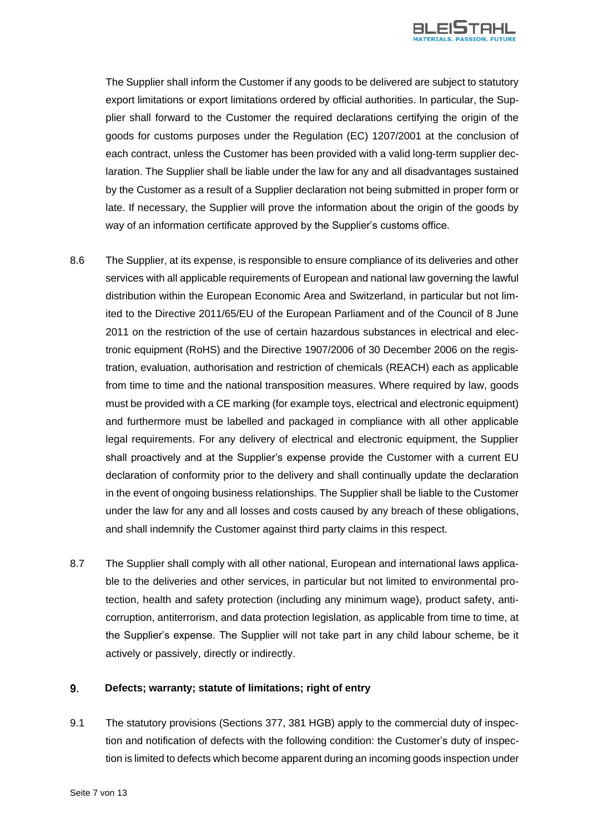

The Supplier shall inform the Customer if any goods to be delivered are subject to statutory export limitations or export limitations ordered by official authorities. In particular, the Supplier shall forward to the Customer the required declarations certifying the origin of the goods for customs purposes under the Regulation (EC) 1207/2001 at the conclusion of each contract, unless the Customer has been provided with a valid long-term supplier declaration. The Supplier shall be liable under the law for any and all disadvantages sustained by the Customer as a result of a Supplier declaration not being submitted in proper form or late. If necessary, the Supplier will prove the information about the origin of the goods by way of an information certificate approved by the Supplier's customs office.

- 8.6 The Supplier, at its expense, is responsible to ensure compliance of its deliveries and other services with all applicable requirements of European and national law governing the lawful distribution within the European Economic Area and Switzerland, in particular but not limited to the Directive 2011/65/EU of the European Parliament and of the Council of 8 June 2011 on the restriction of the use of certain hazardous substances in electrical and electronic equipment (RoHS) and the Directive 1907/2006 of 30 December 2006 on the registration, evaluation, authorisation and restriction of chemicals (REACH) each as applicable from time to time and the national transposition measures. Where required by law, goods must be provided with a CE marking (for example toys, electrical and electronic equipment) and furthermore must be labelled and packaged in compliance with all other applicable legal requirements. For any delivery of electrical and electronic equipment, the Supplier shall proactively and at the Supplier's expense provide the Customer with a current EU declaration of conformity prior to the delivery and shall continually update the declaration in the event of ongoing business relationships. The Supplier shall be liable to the Customer under the law for any and all losses and costs caused by any breach of these obligations, and shall indemnify the Customer against third party claims in this respect.
- 8.7 The Supplier shall comply with all other national, European and international laws applicable to the deliveries and other services, in particular but not limited to environmental protection, health and safety protection (including any minimum wage), product safety, anticorruption, antiterrorism, and data protection legislation, as applicable from time to time, at the Supplier's expense. The Supplier will not take part in any child labour scheme, be it actively or passively, directly or indirectly.

#### $9<sub>1</sub>$ **Defects; warranty; statute of limitations; right of entry**

9.1 The statutory provisions (Sections 377, 381 HGB) apply to the commercial duty of inspection and notification of defects with the following condition: the Customer's duty of inspection is limited to defects which become apparent during an incoming goods inspection under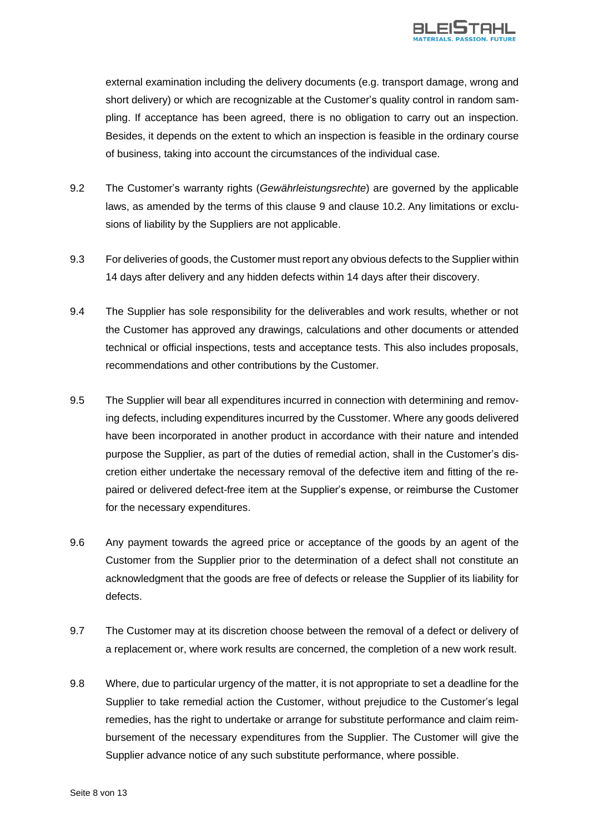

external examination including the delivery documents (e.g. transport damage, wrong and short delivery) or which are recognizable at the Customer's quality control in random sampling. If acceptance has been agreed, there is no obligation to carry out an inspection. Besides, it depends on the extent to which an inspection is feasible in the ordinary course of business, taking into account the circumstances of the individual case.

- 9.2 The Customer's warranty rights (*Gewährleistungsrechte*) are governed by the applicable laws, as amended by the terms of this clause 9 and clause 10.2. Any limitations or exclusions of liability by the Suppliers are not applicable.
- 9.3 For deliveries of goods, the Customer must report any obvious defects to the Supplier within 14 days after delivery and any hidden defects within 14 days after their discovery.
- 9.4 The Supplier has sole responsibility for the deliverables and work results, whether or not the Customer has approved any drawings, calculations and other documents or attended technical or official inspections, tests and acceptance tests. This also includes proposals, recommendations and other contributions by the Customer.
- 9.5 The Supplier will bear all expenditures incurred in connection with determining and removing defects, including expenditures incurred by the Cusstomer. Where any goods delivered have been incorporated in another product in accordance with their nature and intended purpose the Supplier, as part of the duties of remedial action, shall in the Customer's discretion either undertake the necessary removal of the defective item and fitting of the repaired or delivered defect-free item at the Supplier's expense, or reimburse the Customer for the necessary expenditures.
- 9.6 Any payment towards the agreed price or acceptance of the goods by an agent of the Customer from the Supplier prior to the determination of a defect shall not constitute an acknowledgment that the goods are free of defects or release the Supplier of its liability for defects.
- 9.7 The Customer may at its discretion choose between the removal of a defect or delivery of a replacement or, where work results are concerned, the completion of a new work result.
- 9.8 Where, due to particular urgency of the matter, it is not appropriate to set a deadline for the Supplier to take remedial action the Customer, without prejudice to the Customer's legal remedies, has the right to undertake or arrange for substitute performance and claim reimbursement of the necessary expenditures from the Supplier. The Customer will give the Supplier advance notice of any such substitute performance, where possible.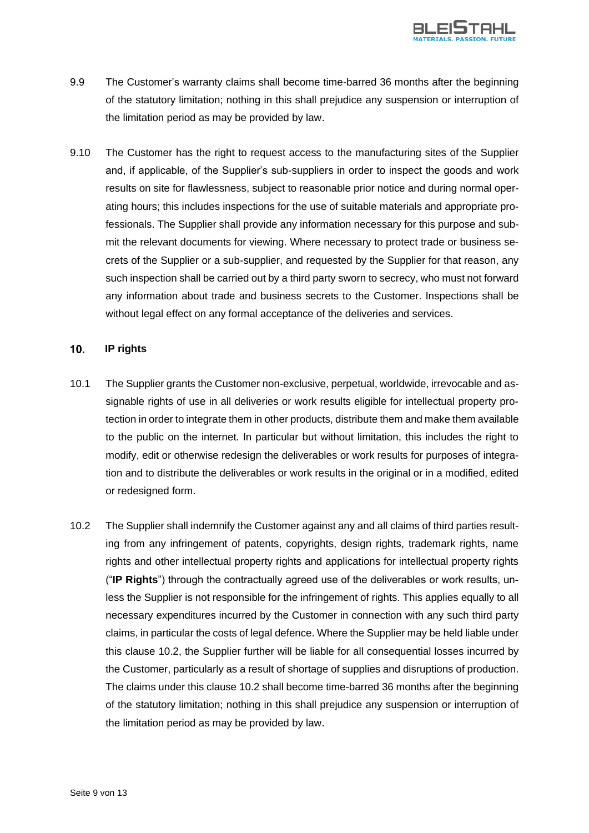

- 9.9 The Customer's warranty claims shall become time-barred 36 months after the beginning of the statutory limitation; nothing in this shall prejudice any suspension or interruption of the limitation period as may be provided by law.
- 9.10 The Customer has the right to request access to the manufacturing sites of the Supplier and, if applicable, of the Supplier's sub-suppliers in order to inspect the goods and work results on site for flawlessness, subject to reasonable prior notice and during normal operating hours; this includes inspections for the use of suitable materials and appropriate professionals. The Supplier shall provide any information necessary for this purpose and submit the relevant documents for viewing. Where necessary to protect trade or business secrets of the Supplier or a sub-supplier, and requested by the Supplier for that reason, any such inspection shall be carried out by a third party sworn to secrecy, who must not forward any information about trade and business secrets to the Customer. Inspections shall be without legal effect on any formal acceptance of the deliveries and services.

#### $10.$ **IP rights**

- 10.1 The Supplier grants the Customer non-exclusive, perpetual, worldwide, irrevocable and assignable rights of use in all deliveries or work results eligible for intellectual property protection in order to integrate them in other products, distribute them and make them available to the public on the internet. In particular but without limitation, this includes the right to modify, edit or otherwise redesign the deliverables or work results for purposes of integration and to distribute the deliverables or work results in the original or in a modified, edited or redesigned form.
- 10.2 The Supplier shall indemnify the Customer against any and all claims of third parties resulting from any infringement of patents, copyrights, design rights, trademark rights, name rights and other intellectual property rights and applications for intellectual property rights ("**IP Rights**") through the contractually agreed use of the deliverables or work results, unless the Supplier is not responsible for the infringement of rights. This applies equally to all necessary expenditures incurred by the Customer in connection with any such third party claims, in particular the costs of legal defence. Where the Supplier may be held liable under this clause 10.2, the Supplier further will be liable for all consequential losses incurred by the Customer, particularly as a result of shortage of supplies and disruptions of production. The claims under this clause 10.2 shall become time-barred 36 months after the beginning of the statutory limitation; nothing in this shall prejudice any suspension or interruption of the limitation period as may be provided by law.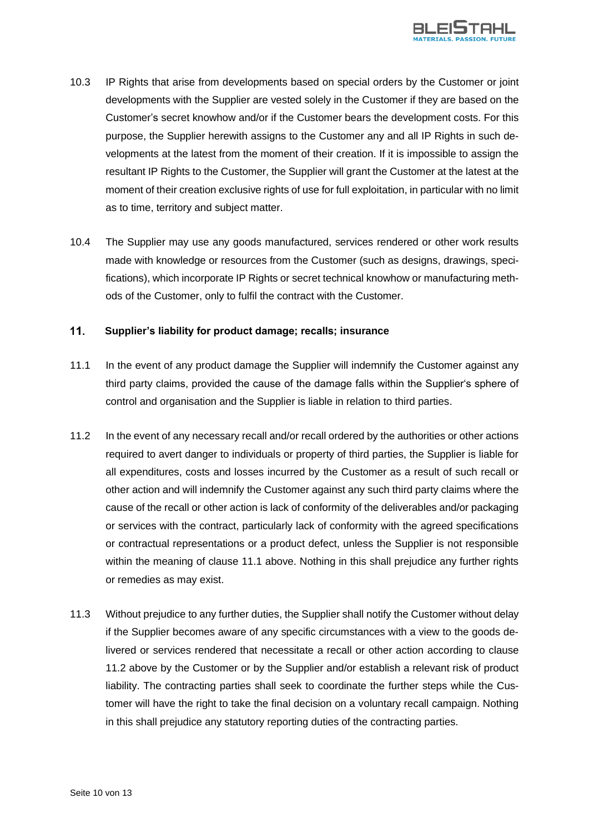

- 10.3 IP Rights that arise from developments based on special orders by the Customer or joint developments with the Supplier are vested solely in the Customer if they are based on the Customer's secret knowhow and/or if the Customer bears the development costs. For this purpose, the Supplier herewith assigns to the Customer any and all IP Rights in such developments at the latest from the moment of their creation. If it is impossible to assign the resultant IP Rights to the Customer, the Supplier will grant the Customer at the latest at the moment of their creation exclusive rights of use for full exploitation, in particular with no limit as to time, territory and subject matter.
- 10.4 The Supplier may use any goods manufactured, services rendered or other work results made with knowledge or resources from the Customer (such as designs, drawings, specifications), which incorporate IP Rights or secret technical knowhow or manufacturing methods of the Customer, only to fulfil the contract with the Customer.

#### $11.$ **Supplier's liability for product damage; recalls; insurance**

- 11.1 In the event of any product damage the Supplier will indemnify the Customer against any third party claims, provided the cause of the damage falls within the Supplier's sphere of control and organisation and the Supplier is liable in relation to third parties.
- 11.2 In the event of any necessary recall and/or recall ordered by the authorities or other actions required to avert danger to individuals or property of third parties, the Supplier is liable for all expenditures, costs and losses incurred by the Customer as a result of such recall or other action and will indemnify the Customer against any such third party claims where the cause of the recall or other action is lack of conformity of the deliverables and/or packaging or services with the contract, particularly lack of conformity with the agreed specifications or contractual representations or a product defect, unless the Supplier is not responsible within the meaning of clause 11.1 above. Nothing in this shall prejudice any further rights or remedies as may exist.
- 11.3 Without prejudice to any further duties, the Supplier shall notify the Customer without delay if the Supplier becomes aware of any specific circumstances with a view to the goods delivered or services rendered that necessitate a recall or other action according to clause 11.2 above by the Customer or by the Supplier and/or establish a relevant risk of product liability. The contracting parties shall seek to coordinate the further steps while the Customer will have the right to take the final decision on a voluntary recall campaign. Nothing in this shall prejudice any statutory reporting duties of the contracting parties.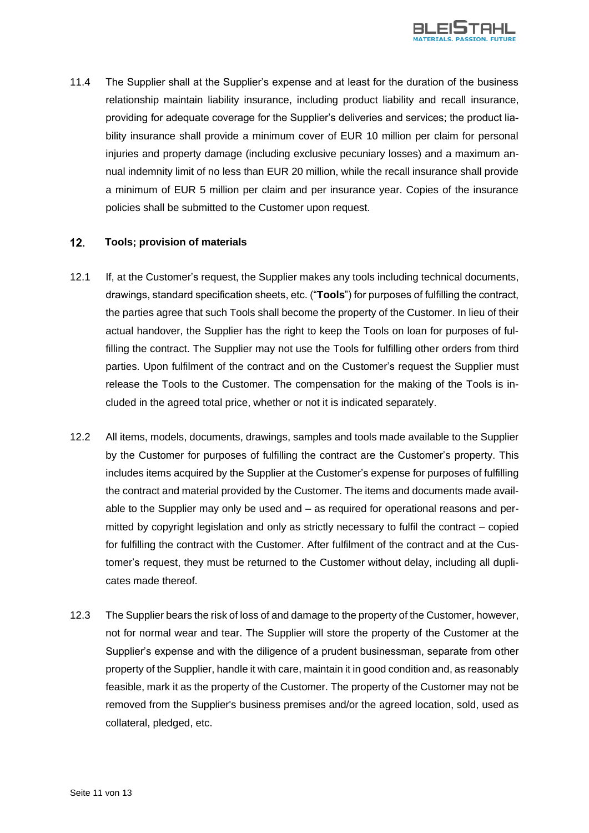

11.4 The Supplier shall at the Supplier's expense and at least for the duration of the business relationship maintain liability insurance, including product liability and recall insurance, providing for adequate coverage for the Supplier's deliveries and services; the product liability insurance shall provide a minimum cover of EUR 10 million per claim for personal injuries and property damage (including exclusive pecuniary losses) and a maximum annual indemnity limit of no less than EUR 20 million, while the recall insurance shall provide a minimum of EUR 5 million per claim and per insurance year. Copies of the insurance policies shall be submitted to the Customer upon request.

#### $12.$ **Tools; provision of materials**

- 12.1 If, at the Customer's request, the Supplier makes any tools including technical documents, drawings, standard specification sheets, etc. ("**Tools**") for purposes of fulfilling the contract, the parties agree that such Tools shall become the property of the Customer. In lieu of their actual handover, the Supplier has the right to keep the Tools on loan for purposes of fulfilling the contract. The Supplier may not use the Tools for fulfilling other orders from third parties. Upon fulfilment of the contract and on the Customer's request the Supplier must release the Tools to the Customer. The compensation for the making of the Tools is included in the agreed total price, whether or not it is indicated separately.
- 12.2 All items, models, documents, drawings, samples and tools made available to the Supplier by the Customer for purposes of fulfilling the contract are the Customer's property. This includes items acquired by the Supplier at the Customer's expense for purposes of fulfilling the contract and material provided by the Customer. The items and documents made available to the Supplier may only be used and – as required for operational reasons and permitted by copyright legislation and only as strictly necessary to fulfil the contract – copied for fulfilling the contract with the Customer. After fulfilment of the contract and at the Customer's request, they must be returned to the Customer without delay, including all duplicates made thereof.
- 12.3 The Supplier bears the risk of loss of and damage to the property of the Customer, however, not for normal wear and tear. The Supplier will store the property of the Customer at the Supplier's expense and with the diligence of a prudent businessman, separate from other property of the Supplier, handle it with care, maintain it in good condition and, as reasonably feasible, mark it as the property of the Customer. The property of the Customer may not be removed from the Supplier's business premises and/or the agreed location, sold, used as collateral, pledged, etc.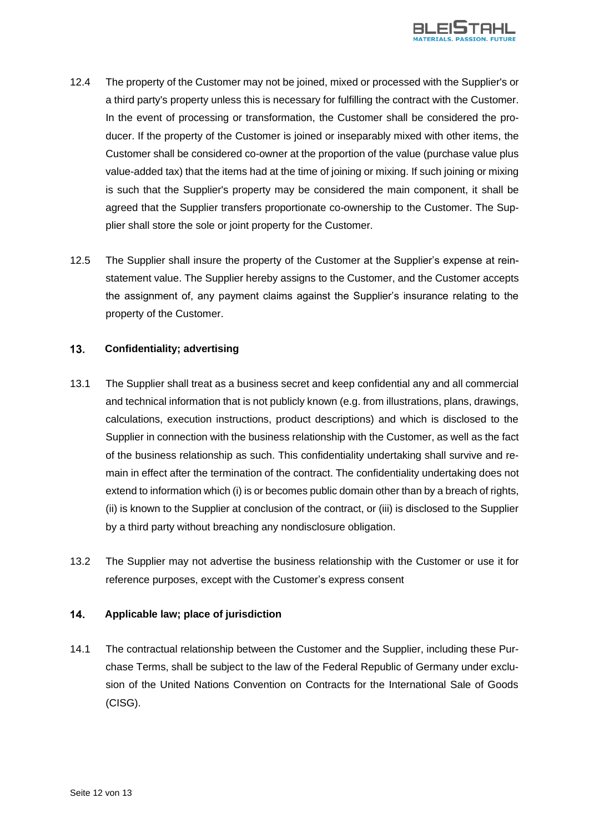

- 12.4 The property of the Customer may not be joined, mixed or processed with the Supplier's or a third party's property unless this is necessary for fulfilling the contract with the Customer. In the event of processing or transformation, the Customer shall be considered the producer. If the property of the Customer is joined or inseparably mixed with other items, the Customer shall be considered co-owner at the proportion of the value (purchase value plus value-added tax) that the items had at the time of joining or mixing. If such joining or mixing is such that the Supplier's property may be considered the main component, it shall be agreed that the Supplier transfers proportionate co-ownership to the Customer. The Supplier shall store the sole or joint property for the Customer.
- 12.5 The Supplier shall insure the property of the Customer at the Supplier's expense at reinstatement value. The Supplier hereby assigns to the Customer, and the Customer accepts the assignment of, any payment claims against the Supplier's insurance relating to the property of the Customer.

#### $13.$ **Confidentiality; advertising**

- 13.1 The Supplier shall treat as a business secret and keep confidential any and all commercial and technical information that is not publicly known (e.g. from illustrations, plans, drawings, calculations, execution instructions, product descriptions) and which is disclosed to the Supplier in connection with the business relationship with the Customer, as well as the fact of the business relationship as such. This confidentiality undertaking shall survive and remain in effect after the termination of the contract. The confidentiality undertaking does not extend to information which (i) is or becomes public domain other than by a breach of rights, (ii) is known to the Supplier at conclusion of the contract, or (iii) is disclosed to the Supplier by a third party without breaching any nondisclosure obligation.
- 13.2 The Supplier may not advertise the business relationship with the Customer or use it for reference purposes, except with the Customer's express consent

#### 14. **Applicable law; place of jurisdiction**

14.1 The contractual relationship between the Customer and the Supplier, including these Purchase Terms, shall be subject to the law of the Federal Republic of Germany under exclusion of the United Nations Convention on Contracts for the International Sale of Goods (CISG).